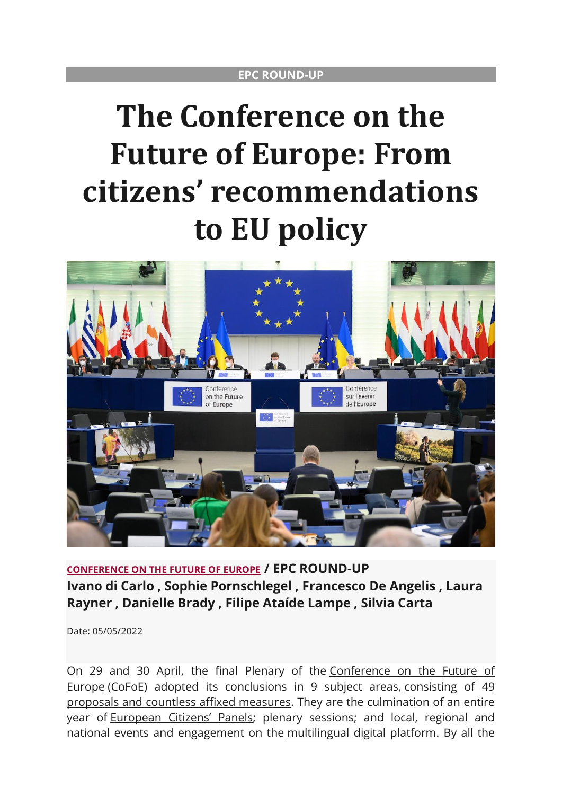# **The Conference on the Future of Europe: From citizens' recommendations to EU policy**



**[CONFERENCE ON THE FUTURE OF EUROPE](https://epc.eu/en/search?tag=899) / EPC ROUND-UP Ivano di Carlo , Sophie Pornschlegel , Francesco De Angelis , Laura Rayner , Danielle Brady , Filipe Ataíde Lampe , Silvia Carta**

Date: 05/05/2022

On 29 and 30 April, the final Plenary of the [Conference on the Future of](https://conference-observatory.eu/)  [Europe](https://conference-observatory.eu/) (CoFoE) adopted its conclusions in 9 subject areas, [consisting of 49](https://futureu.europa.eu/rails/active_storage/blobs/redirect/eyJfcmFpbHMiOnsibWVzc2FnZSI6IkJBaHBBNkVjQVE9PSIsImV4cCI6bnVsbCwicHVyIjoiYmxvYl9pZCJ9fQ==--a65f701711e7ed2c282626a8451f1ebee078c57c/CoFE%20-%20Consolidated%20list%20of%20draft%20proposals_FINAL_.pdf)  [proposals and countless affixed measures.](https://futureu.europa.eu/rails/active_storage/blobs/redirect/eyJfcmFpbHMiOnsibWVzc2FnZSI6IkJBaHBBNkVjQVE9PSIsImV4cCI6bnVsbCwicHVyIjoiYmxvYl9pZCJ9fQ==--a65f701711e7ed2c282626a8451f1ebee078c57c/CoFE%20-%20Consolidated%20list%20of%20draft%20proposals_FINAL_.pdf) They are the culmination of an entire year of [European Citizens'](https://futureu.europa.eu/assemblies/citizens-panels) Panels; plenary sessions; and local, regional and national events and engagement on the [multilingual digital platform.](https://futureu.europa.eu/?locale=en) By all the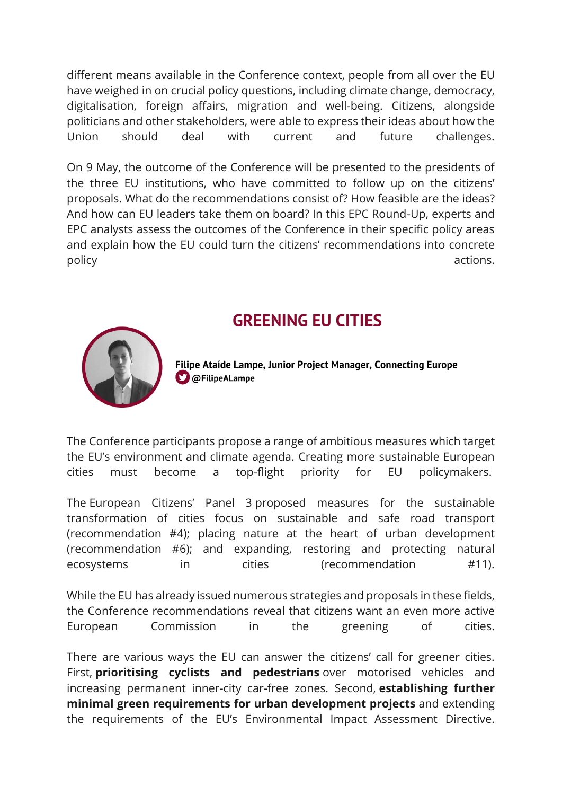different means available in the Conference context, people from all over the EU have weighed in on crucial policy questions, including climate change, democracy, digitalisation, foreign affairs, migration and well-being. Citizens, alongside politicians and other stakeholders, were able to express their ideas about how the Union should deal with current and future challenges.

On 9 May, the outcome of the Conference will be presented to the presidents of the three EU institutions, who have committed to follow up on the citizens' proposals. What do the recommendations consist of? How feasible are the ideas? And how can EU leaders take them on board? In this EPC Round-Up, experts and EPC analysts assess the outcomes of the Conference in their specific policy areas and explain how the EU could turn the citizens' recommendations into concrete policy actions.

## **GREENING EU CITIES**



Filipe Ataide Lampe, Junior Project Manager, Connecting Europe **D** @FilipeALampe

The Conference participants propose a range of ambitious measures which target the EU's environment and climate agenda. Creating more sustainable European cities must become a top-flight priority for EU policymakers.

The [European Citizens' Panel 3](https://futureu.europa.eu/assemblies/citizens-panels/f/300/) proposed measures for the sustainable transformation of cities focus on sustainable and safe road transport (recommendation #4); placing nature at the heart of urban development (recommendation #6); and expanding, restoring and protecting natural ecosystems in cities (recommendation #11).

While the EU has already issued numerous strategies and proposals in these fields, the Conference recommendations reveal that citizens want an even more active European Commission in the greening of cities.

There are various ways the EU can answer the citizens' call for greener cities. First, **prioritising cyclists and pedestrians** over motorised vehicles and increasing permanent inner-city car-free zones. Second, **establishing further minimal green requirements for urban development projects** and extending the requirements of the EU's Environmental Impact Assessment Directive.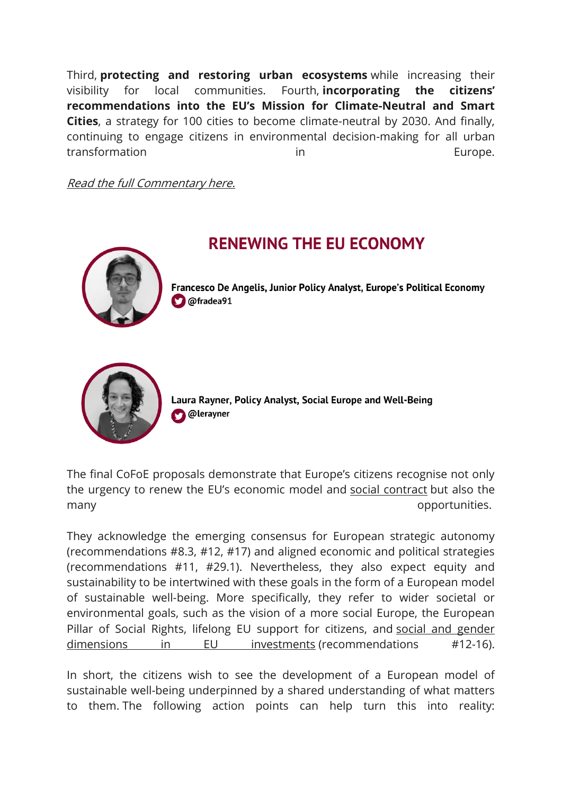Third, **protecting and restoring urban ecosystems** while increasing their visibility for local communities. Fourth, **incorporating the citizens' recommendations into the EU's Mission for Climate-Neutral and Smart Cities**, a strategy for 100 cities to become climate-neutral by 2030. And finally, continuing to engage citizens in environmental decision-making for all urban transformation in transformation in transformation in the Europe.

[Read the full Commentary here.](https://www.epc.eu/en/Publications/Conference-on-the-Future-of-Europe-Greening-Europes-cities~480968)



## **RENEWING THE EU ECONOMY**

Francesco De Angelis, Junior Policy Analyst, Europe's Political Economy **D** @fradea91



Laura Rayner, Policy Analyst, Social Europe and Well-Being **O** @lerayner

The final CoFoE proposals demonstrate that Europe's citizens recognise not only the urgency to renew the EU's economic model and [social contract](https://www.epc.eu/en/publications/Renewing-the-social-contract-to-deliver-a-just-energy-transition~4469ac) but also the many opportunities.

They acknowledge the emerging consensus for European strategic autonomy (recommendations #8.3, #12, #17) and aligned economic and political strategies (recommendations #11, #29.1). Nevertheless, they also expect equity and sustainability to be intertwined with these goals in the form of a European model of sustainable well-being. More specifically, they refer to wider societal or environmental goals, such as the vision of a more social Europe, the European Pillar of Social Rights, lifelong EU support for citizens, and social and gender [dimensions in EU investments](https://epc.eu/en/publications/Rethinking-EU-economic-governance-Social-investment~44b7cc) (recommendations #12-16).

In short, the citizens wish to see the development of a European model of sustainable well-being underpinned by a shared understanding of what matters to them. The following action points can help turn this into reality: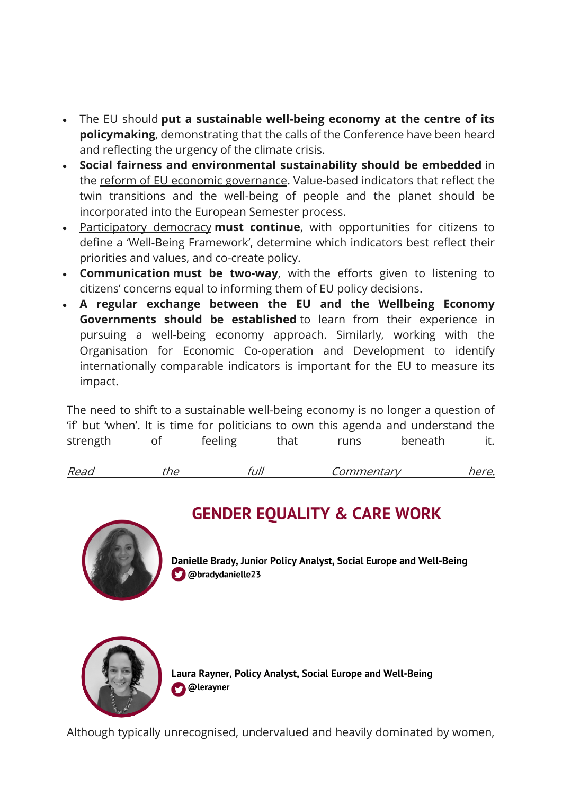- The EU should **put a sustainable well-being economy at the centre of its policymaking**, demonstrating that the calls of the Conference have been heard and reflecting the urgency of the climate crisis.
- **Social fairness and environmental sustainability should be embedded** in the [reform of EU economic governance.](https://www.epc.eu/en/publications/Rethinking-EU-economic-governance-The-foundation-for-an-inclusive-gr~45b1cc) Value-based indicators that reflect the twin transitions and the well-being of people and the planet should be incorporated into the [European Semester](https://epc.eu/en/publications/Rethinking-EU-economic-governance-The-European-Semester~449a80) process.
- [Participatory democracy](https://epc.eu/en/publications/Conference-on-the-Future-of-Europe-There-are-no-ready-made-solutions~47d894) **must continue**, with opportunities for citizens to define a 'Well-Being Framework', determine which indicators best reflect their priorities and values, and co-create policy.
- **Communication must be two-way**, with the efforts given to listening to citizens' concerns equal to informing them of EU policy decisions.
- **A regular exchange between the EU and the Wellbeing Economy Governments should be established** to learn from their experience in pursuing a well-being economy approach. Similarly, working with the Organisation for Economic Co-operation and Development to identify internationally comparable indicators is important for the EU to measure its impact.

The need to shift to a sustainable well-being economy is no longer a question of 'if' but 'when'. It is time for politicians to own this agenda and understand the strength of feeling that runs beneath it.

```
Read the full Commentary here.
```


## **GENDER EQUALITY & CARE WORK**

Danielle Brady, Junior Policy Analyst, Social Europe and Well-Being **Obradydanielle23** 



Laura Rayner, Policy Analyst, Social Europe and Well-Being @lerayner

Although typically unrecognised, undervalued and heavily dominated by women,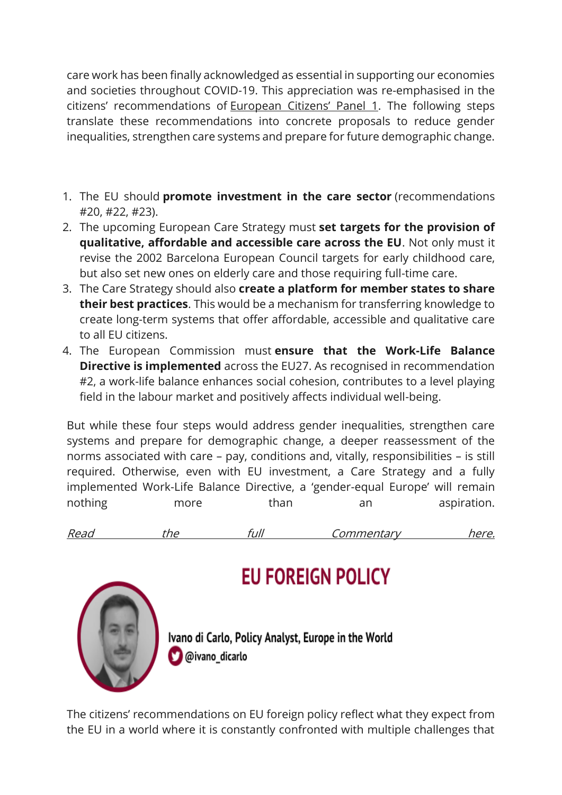care work has been finally acknowledged as essential in supporting our economies and societies throughout COVID-19. This appreciation was re-emphasised in the citizens' recommendations of [European Citizens' Panel 1](https://futureu.europa.eu/assemblies/citizens-panels/f/298/). The following steps translate these recommendations into concrete proposals to reduce gender inequalities, strengthen care systems and prepare for future demographic change.

- 1. The EU should **promote investment in the care sector** (recommendations #20, #22, #23).
- 2. The upcoming European Care Strategy must **set targets for the provision of qualitative, affordable and accessible care across the EU**. Not only must it revise the 2002 Barcelona European Council targets for early childhood care, but also set new ones on elderly care and those requiring full-time care.
- 3. The Care Strategy should also **create a platform for member states to share their best practices**. This would be a mechanism for transferring knowledge to create long-term systems that offer affordable, accessible and qualitative care to all EU citizens.
- 4. The European Commission must **ensure that the Work-Life Balance Directive is implemented** across the EU27. As recognised in recommendation #2, a work-life balance enhances social cohesion, contributes to a level playing field in the labour market and positively affects individual well-being.

But while these four steps would address gender inequalities, strengthen care systems and prepare for demographic change, a deeper reassessment of the norms associated with care – pay, conditions and, vitally, responsibilities – is still required. Otherwise, even with EU investment, a Care Strategy and a fully implemented Work-Life Balance Directive, a 'gender-equal Europe' will remain nothing more than an aspiration.

| Read |  | $+ - -$ |  |
|------|--|---------|--|
|      |  |         |  |



## **EU FOREIGN POLICY**

Ivano di Carlo, Policy Analyst, Europe in the World @ivano\_dicarlo

The citizens' recommendations on EU foreign policy reflect what they expect from the EU in a world where it is constantly confronted with multiple challenges that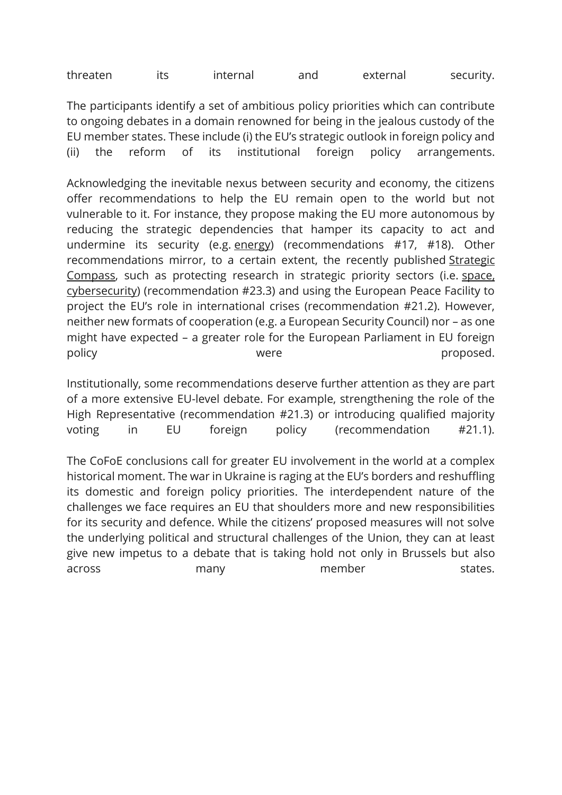threaten its internal and external security.

The participants identify a set of ambitious policy priorities which can contribute to ongoing debates in a domain renowned for being in the jealous custody of the EU member states. These include (i) the EU's strategic outlook in foreign policy and (ii) the reform of its institutional foreign policy arrangements.

Acknowledging the inevitable nexus between security and economy, the citizens offer recommendations to help the EU remain open to the world but not vulnerable to it. For instance, they propose making the EU more autonomous by reducing the strategic dependencies that hamper its capacity to act and undermine its security (e.g. [energy\)](https://epc.eu/en/publications/The-moral-cost-of-social-peace-in-Germany~47ccdc) (recommendations #17, #18). Other recommendations mirror, to a certain extent, the recently published [Strategic](https://epc.eu/en/publications/Will-the-Strategic-Compass-be-a-game-changer-for-EU-security-and-defen~479820)  [Compass,](https://epc.eu/en/publications/Will-the-Strategic-Compass-be-a-game-changer-for-EU-security-and-defen~479820) such as protecting research in strategic priority sectors (i.e. [space,](https://epc.eu/en/publications/Lessons-from-the-Ukrainian-cyber-front~476f1c)  [cybersecurity\)](https://epc.eu/en/publications/Lessons-from-the-Ukrainian-cyber-front~476f1c) (recommendation #23.3) and using the European Peace Facility to project the EU's role in international crises (recommendation #21.2). However, neither new formats of cooperation (e.g. a European Security Council) nor – as one might have expected – a greater role for the European Parliament in EU foreign policy by the proposed.

Institutionally, some recommendations deserve further attention as they are part of a more extensive EU-level debate. For example, strengthening the role of the High Representative (recommendation #21.3) or introducing qualified majority voting in EU foreign policy (recommendation #21.1).

The CoFoE conclusions call for greater EU involvement in the world at a complex historical moment. The war in Ukraine is raging at the EU's borders and reshuffling its domestic and foreign policy priorities. The interdependent nature of the challenges we face requires an EU that shoulders more and new responsibilities for its security and defence. While the citizens' proposed measures will not solve the underlying political and structural challenges of the Union, they can at least give new impetus to a debate that is taking hold not only in Brussels but also across many member states.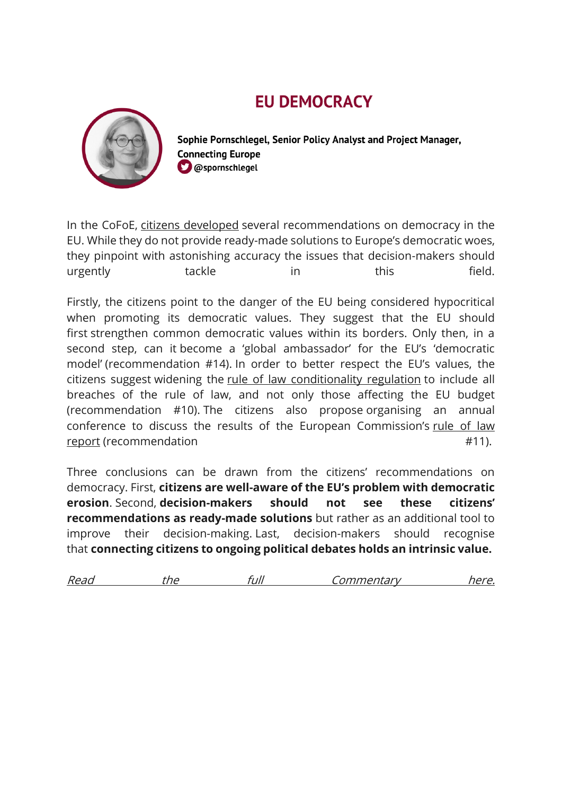## **EU DEMOCRACY**



Sophie Pornschlegel, Senior Policy Analyst and Project Manager, **Connecting Europe**  $\Box$  @spornschlegel

In the CoFoE, [citizens developed](https://futureu.europa.eu/assemblies/citizens-panels/f/299/) several recommendations on democracy in the EU. While they do not provide ready-made solutions to Europe's democratic woes, they pinpoint with astonishing accuracy the issues that decision-makers should urgently tackle in this field.

Firstly, the citizens point to the danger of the EU being considered hypocritical when promoting its democratic values. They suggest that the EU should first strengthen common democratic values within its borders. Only then, in a second step, can it become a 'global ambassador' for the EU's 'democratic model' (recommendation #14). In order to better respect the EU's values, the citizens suggest widening the [rule of law conditionality regulation](https://ec.europa.eu/info/strategy/eu-budget/protection-eu-budget/rule-law-conditionality-regulation_en) to include all breaches of the rule of law, and not only those affecting the EU budget (recommendation #10). The citizens also propose organising an annual conference to discuss the results of the European Commission's [rule of law](https://ec.europa.eu/info/policies/justice-and-fundamental-rights/upholding-rule-law/rule-law/rule-law-mechanism/2022-rule-law-report_en)  [report](https://ec.europa.eu/info/policies/justice-and-fundamental-rights/upholding-rule-law/rule-law/rule-law-mechanism/2022-rule-law-report_en) (recommendation  $#11$ ).

Three conclusions can be drawn from the citizens' recommendations on democracy. First, **citizens are well-aware of the EU's problem with democratic erosion**. Second, **decision-makers should not see these citizens' recommendations as ready-made solutions** but rather as an additional tool to improve their decision-making. Last, decision-makers should recognise that **connecting citizens to ongoing political debates holds an intrinsic value.**

| Read | n | иı | `ommantary<br>ILAI<br>$^{\prime}$ / t .<br>,,, | $\sim$ $\sim$<br>$\sim$ |
|------|---|----|------------------------------------------------|-------------------------|
|      |   |    |                                                |                         |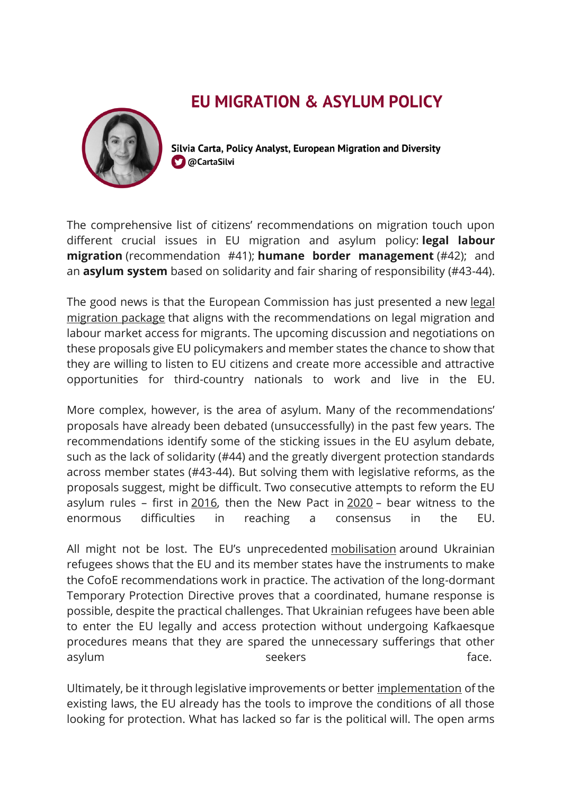## **EU MIGRATION & ASYLUM POLICY**

Silvia Carta, Policy Analyst, European Migration and Diversity **C** @CartaSilvi

The comprehensive list of citizens' recommendations on migration touch upon different crucial issues in EU migration and asylum policy: **legal labour migration** (recommendation #41); **humane border management** (#42); and an **asylum system** based on solidarity and fair sharing of responsibility (#43-44).

The good news is that the European Commission has just presented a new legal [migration package](https://ec.europa.eu/commission/presscorner/detail/en/IP_22_2654) that aligns with the recommendations on legal migration and labour market access for migrants. The upcoming discussion and negotiations on these proposals give EU policymakers and member states the chance to show that they are willing to listen to EU citizens and create more accessible and attractive opportunities for third-country nationals to work and live in the EU.

More complex, however, is the area of asylum. Many of the recommendations' proposals have already been debated (unsuccessfully) in the past few years. The recommendations identify some of the sticking issues in the EU asylum debate, such as the lack of solidarity (#44) and the greatly divergent protection standards across member states (#43-44). But solving them with legislative reforms, as the proposals suggest, might be difficult. Two consecutive attempts to reform the EU asylum rules – first in [2016,](https://www.europarl.europa.eu/legislative-train/theme-towards-a-new-policy-on-migration/file-reform-of-the-common-european-asylum-system-(ceas)) then the New Pact in [2020](https://www.europarl.europa.eu/legislative-train/theme-promoting-our-european-way-of-life/file-a-new-pact-on-migration-and-asylum#:~:text=The%20Commission%20presented%20the%20Pact,EU) – bear witness to the enormous difficulties in reaching a consensus in the EU.

All might not be lost. The EU's unprecedented [mobilisation](https://www.politico.eu/article/eu-ministers-historical-deal-protect-ukraine-refugees/) around Ukrainian refugees shows that the EU and its member states have the instruments to make the CofoE recommendations work in practice. The activation of the long-dormant Temporary Protection Directive proves that a coordinated, humane response is possible, despite the practical challenges. That Ukrainian refugees have been able to enter the EU legally and access protection without undergoing Kafkaesque procedures means that they are spared the unnecessary sufferings that other asylum assesses to the seekers and the seekers of the seekers of the seekers of the seed of the see  $\sim$ 

Ultimately, be it through legislative improvements or better [implementation](https://ecre.org/ecre-policy-note-making-the-ceas-work-starting-today/) of the existing laws, the EU already has the tools to improve the conditions of all those looking for protection. What has lacked so far is the political will. The open arms